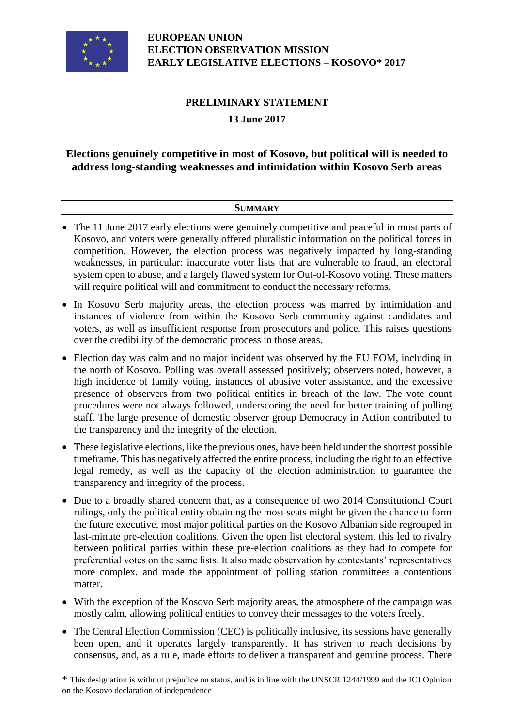

# **PRELIMINARY STATEMENT**

## **13 June 2017**

# **Elections genuinely competitive in most of Kosovo, but political will is needed to address long-standing weaknesses and intimidation within Kosovo Serb areas**

#### **SUMMARY**

- The 11 June 2017 early elections were genuinely competitive and peaceful in most parts of Kosovo, and voters were generally offered pluralistic information on the political forces in competition. However, the election process was negatively impacted by long-standing weaknesses, in particular: inaccurate voter lists that are vulnerable to fraud, an electoral system open to abuse, and a largely flawed system for Out-of-Kosovo voting. These matters will require political will and commitment to conduct the necessary reforms.
- In Kosovo Serb majority areas, the election process was marred by intimidation and instances of violence from within the Kosovo Serb community against candidates and voters, as well as insufficient response from prosecutors and police. This raises questions over the credibility of the democratic process in those areas.
- Election day was calm and no major incident was observed by the EU EOM, including in the north of Kosovo. Polling was overall assessed positively; observers noted, however, a high incidence of family voting, instances of abusive voter assistance, and the excessive presence of observers from two political entities in breach of the law. The vote count procedures were not always followed, underscoring the need for better training of polling staff. The large presence of domestic observer group Democracy in Action contributed to the transparency and the integrity of the election.
- These legislative elections, like the previous ones, have been held under the shortest possible timeframe. This has negatively affected the entire process, including the right to an effective legal remedy, as well as the capacity of the election administration to guarantee the transparency and integrity of the process.
- Due to a broadly shared concern that, as a consequence of two 2014 Constitutional Court rulings, only the political entity obtaining the most seats might be given the chance to form the future executive, most major political parties on the Kosovo Albanian side regrouped in last-minute pre-election coalitions. Given the open list electoral system, this led to rivalry between political parties within these pre-election coalitions as they had to compete for preferential votes on the same lists. It also made observation by contestants' representatives more complex, and made the appointment of polling station committees a contentious matter.
- With the exception of the Kosovo Serb majority areas, the atmosphere of the campaign was mostly calm, allowing political entities to convey their messages to the voters freely.
- The Central Election Commission (CEC) is politically inclusive, its sessions have generally been open, and it operates largely transparently. It has striven to reach decisions by consensus, and, as a rule, made efforts to deliver a transparent and genuine process. There

\* This designation is without prejudice on status, and is in line with the UNSCR 1244/1999 and the ICJ Opinion on the Kosovo declaration of independence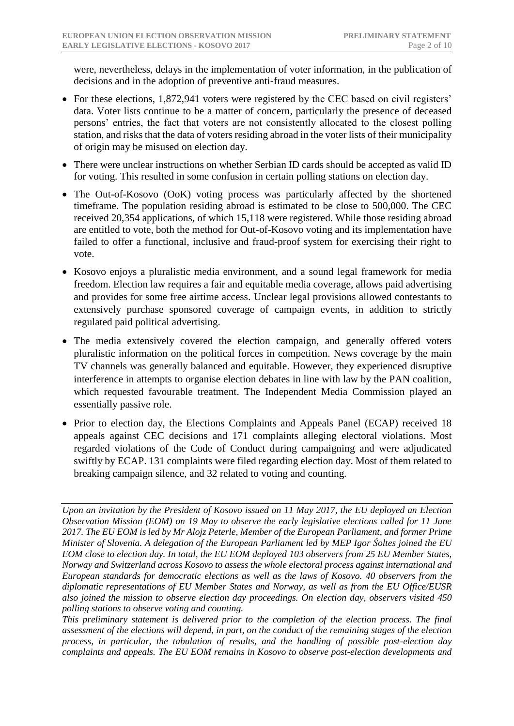were, nevertheless, delays in the implementation of voter information, in the publication of decisions and in the adoption of preventive anti-fraud measures.

- For these elections, 1,872,941 voters were registered by the CEC based on civil registers' data. Voter lists continue to be a matter of concern, particularly the presence of deceased persons' entries, the fact that voters are not consistently allocated to the closest polling station, and risks that the data of voters residing abroad in the voter lists of their municipality of origin may be misused on election day.
- There were unclear instructions on whether Serbian ID cards should be accepted as valid ID for voting. This resulted in some confusion in certain polling stations on election day.
- The Out-of-Kosovo (OoK) voting process was particularly affected by the shortened timeframe. The population residing abroad is estimated to be close to 500,000. The CEC received 20,354 applications, of which 15,118 were registered. While those residing abroad are entitled to vote, both the method for Out-of-Kosovo voting and its implementation have failed to offer a functional, inclusive and fraud-proof system for exercising their right to vote.
- Kosovo enjoys a pluralistic media environment, and a sound legal framework for media freedom. Election law requires a fair and equitable media coverage, allows paid advertising and provides for some free airtime access. Unclear legal provisions allowed contestants to extensively purchase sponsored coverage of campaign events, in addition to strictly regulated paid political advertising.
- The media extensively covered the election campaign, and generally offered voters pluralistic information on the political forces in competition. News coverage by the main TV channels was generally balanced and equitable. However, they experienced disruptive interference in attempts to organise election debates in line with law by the PAN coalition, which requested favourable treatment. The Independent Media Commission played an essentially passive role.
- Prior to election day, the Elections Complaints and Appeals Panel (ECAP) received 18 appeals against CEC decisions and 171 complaints alleging electoral violations. Most regarded violations of the Code of Conduct during campaigning and were adjudicated swiftly by ECAP. 131 complaints were filed regarding election day. Most of them related to breaking campaign silence, and 32 related to voting and counting.

*This preliminary statement is delivered prior to the completion of the election process. The final assessment of the elections will depend, in part, on the conduct of the remaining stages of the election process, in particular, the tabulation of results, and the handling of possible post-election day complaints and appeals. The EU EOM remains in Kosovo to observe post-election developments and* 

*Upon an invitation by the President of Kosovo issued on 11 May 2017, the EU deployed an Election Observation Mission (EOM) on 19 May to observe the early legislative elections called for 11 June 2017. The EU EOM is led by Mr Alojz Peterle, Member of the European Parliament, and former Prime Minister of Slovenia. A delegation of the European Parliament led by MEP Igor Šoltes joined the EU EOM close to election day. In total, the EU EOM deployed 103 observers from 25 EU Member States, Norway and Switzerland across Kosovo to assess the whole electoral process against international and European standards for democratic elections as well as the laws of Kosovo. 40 observers from the diplomatic representations of EU Member States and Norway, as well as from the EU Office/EUSR also joined the mission to observe election day proceedings. On election day, observers visited 450 polling stations to observe voting and counting.*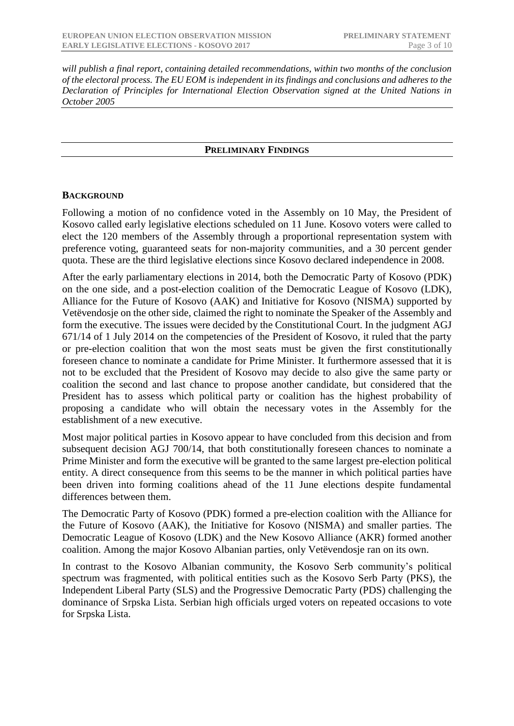*will publish a final report, containing detailed recommendations, within two months of the conclusion of the electoral process. The EU EOM is independent in its findings and conclusions and adheres to the Declaration of Principles for International Election Observation signed at the United Nations in October 2005*

#### **PRELIMINARY FINDINGS**

#### **BACKGROUND**

Following a motion of no confidence voted in the Assembly on 10 May, the President of Kosovo called early legislative elections scheduled on 11 June. Kosovo voters were called to elect the 120 members of the Assembly through a proportional representation system with preference voting, guaranteed seats for non-majority communities, and a 30 percent gender quota. These are the third legislative elections since Kosovo declared independence in 2008.

After the early parliamentary elections in 2014, both the Democratic Party of Kosovo (PDK) on the one side, and a post-election coalition of the Democratic League of Kosovo (LDK), Alliance for the Future of Kosovo (AAK) and Initiative for Kosovo (NISMA) supported by Vetëvendosje on the other side, claimed the right to nominate the Speaker of the Assembly and form the executive. The issues were decided by the Constitutional Court. In the judgment AGJ 671/14 of 1 July 2014 on the competencies of the President of Kosovo, it ruled that the party or pre-election coalition that won the most seats must be given the first constitutionally foreseen chance to nominate a candidate for Prime Minister. It furthermore assessed that it is not to be excluded that the President of Kosovo may decide to also give the same party or coalition the second and last chance to propose another candidate, but considered that the President has to assess which political party or coalition has the highest probability of proposing a candidate who will obtain the necessary votes in the Assembly for the establishment of a new executive.

Most major political parties in Kosovo appear to have concluded from this decision and from subsequent decision AGJ 700/14, that both constitutionally foreseen chances to nominate a Prime Minister and form the executive will be granted to the same largest pre-election political entity. A direct consequence from this seems to be the manner in which political parties have been driven into forming coalitions ahead of the 11 June elections despite fundamental differences between them.

The Democratic Party of Kosovo (PDK) formed a pre-election coalition with the Alliance for the Future of Kosovo (AAK), the Initiative for Kosovo (NISMA) and smaller parties. The Democratic League of Kosovo (LDK) and the New Kosovo Alliance (AKR) formed another coalition. Among the major Kosovo Albanian parties, only Vetëvendosje ran on its own.

In contrast to the Kosovo Albanian community, the Kosovo Serb community's political spectrum was fragmented, with political entities such as the Kosovo Serb Party (PKS), the Independent Liberal Party (SLS) and the Progressive Democratic Party (PDS) challenging the dominance of Srpska Lista. Serbian high officials urged voters on repeated occasions to vote for Srpska Lista.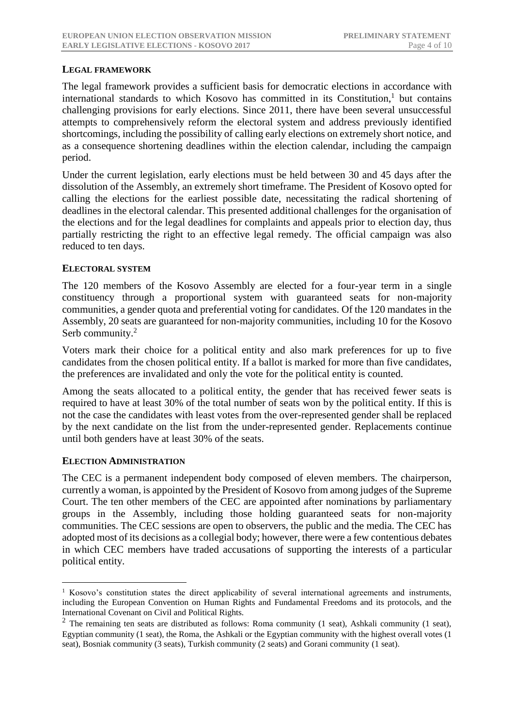### **LEGAL FRAMEWORK**

The legal framework provides a sufficient basis for democratic elections in accordance with international standards to which Kosovo has committed in its Constitution,<sup>1</sup> but contains challenging provisions for early elections. Since 2011, there have been several unsuccessful attempts to comprehensively reform the electoral system and address previously identified shortcomings, including the possibility of calling early elections on extremely short notice, and as a consequence shortening deadlines within the election calendar, including the campaign period.

Under the current legislation, early elections must be held between 30 and 45 days after the dissolution of the Assembly, an extremely short timeframe. The President of Kosovo opted for calling the elections for the earliest possible date, necessitating the radical shortening of deadlines in the electoral calendar. This presented additional challenges for the organisation of the elections and for the legal deadlines for complaints and appeals prior to election day, thus partially restricting the right to an effective legal remedy. The official campaign was also reduced to ten days.

#### **ELECTORAL SYSTEM**

The 120 members of the Kosovo Assembly are elected for a four-year term in a single constituency through a proportional system with guaranteed seats for non-majority communities, a gender quota and preferential voting for candidates. Of the 120 mandates in the Assembly, 20 seats are guaranteed for non-majority communities, including 10 for the Kosovo Serb community.<sup>2</sup>

Voters mark their choice for a political entity and also mark preferences for up to five candidates from the chosen political entity. If a ballot is marked for more than five candidates, the preferences are invalidated and only the vote for the political entity is counted.

Among the seats allocated to a political entity, the gender that has received fewer seats is required to have at least 30% of the total number of seats won by the political entity. If this is not the case the candidates with least votes from the over-represented gender shall be replaced by the next candidate on the list from the under-represented gender. Replacements continue until both genders have at least 30% of the seats.

#### **ELECTION ADMINISTRATION**

1

The CEC is a permanent independent body composed of eleven members. The chairperson, currently a woman, is appointed by the President of Kosovo from among judges of the Supreme Court. The ten other members of the CEC are appointed after nominations by parliamentary groups in the Assembly, including those holding guaranteed seats for non-majority communities. The CEC sessions are open to observers, the public and the media. The CEC has adopted most of its decisions as a collegial body; however, there were a few contentious debates in which CEC members have traded accusations of supporting the interests of a particular political entity.

<sup>&</sup>lt;sup>1</sup> Kosovo's constitution states the direct applicability of several international agreements and instruments, including the European Convention on Human Rights and Fundamental Freedoms and its protocols, and the International Covenant on Civil and Political Rights.

 $2$  The remaining ten seats are distributed as follows: Roma community (1 seat), Ashkali community (1 seat), Egyptian community (1 seat), the Roma, the Ashkali or the Egyptian community with the highest overall votes (1 seat), Bosniak community (3 seats), Turkish community (2 seats) and Gorani community (1 seat).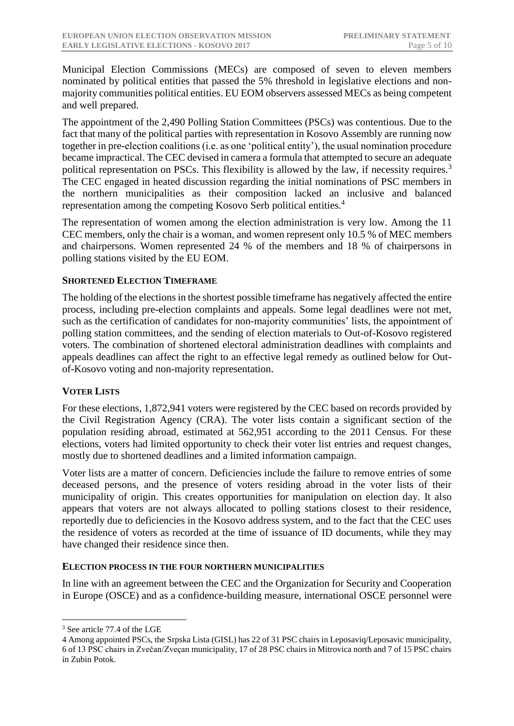Municipal Election Commissions (MECs) are composed of seven to eleven members nominated by political entities that passed the 5% threshold in legislative elections and nonmajority communities political entities. EU EOM observers assessed MECs as being competent and well prepared.

The appointment of the 2,490 Polling Station Committees (PSCs) was contentious. Due to the fact that many of the political parties with representation in Kosovo Assembly are running now together in pre-election coalitions (i.e. as one 'political entity'), the usual nomination procedure became impractical. The CEC devised in camera a formula that attempted to secure an adequate political representation on PSCs. This flexibility is allowed by the law, if necessity requires.<sup>3</sup> The CEC engaged in heated discussion regarding the initial nominations of PSC members in the northern municipalities as their composition lacked an inclusive and balanced representation among the competing Kosovo Serb political entities.<sup>4</sup>

The representation of women among the election administration is very low. Among the 11 CEC members, only the chair is a woman, and women represent only 10.5 % of MEC members and chairpersons. Women represented 24 % of the members and 18 % of chairpersons in polling stations visited by the EU EOM.

#### **SHORTENED ELECTION TIMEFRAME**

The holding of the elections in the shortest possible timeframe has negatively affected the entire process, including pre-election complaints and appeals. Some legal deadlines were not met, such as the certification of candidates for non-majority communities' lists, the appointment of polling station committees, and the sending of election materials to Out-of-Kosovo registered voters. The combination of shortened electoral administration deadlines with complaints and appeals deadlines can affect the right to an effective legal remedy as outlined below for Outof-Kosovo voting and non-majority representation.

#### **VOTER LISTS**

For these elections, 1,872,941 voters were registered by the CEC based on records provided by the Civil Registration Agency (CRA). The voter lists contain a significant section of the population residing abroad, estimated at 562,951 according to the 2011 Census. For these elections, voters had limited opportunity to check their voter list entries and request changes, mostly due to shortened deadlines and a limited information campaign.

Voter lists are a matter of concern. Deficiencies include the failure to remove entries of some deceased persons, and the presence of voters residing abroad in the voter lists of their municipality of origin. This creates opportunities for manipulation on election day. It also appears that voters are not always allocated to polling stations closest to their residence, reportedly due to deficiencies in the Kosovo address system, and to the fact that the CEC uses the residence of voters as recorded at the time of issuance of ID documents, while they may have changed their residence since then.

#### **ELECTION PROCESS IN THE FOUR NORTHERN MUNICIPALITIES**

In line with an agreement between the CEC and the Organization for Security and Cooperation in Europe (OSCE) and as a confidence-building measure, international OSCE personnel were

1

<sup>3</sup> See article 77.4 of the LGE

<sup>4</sup> Among appointed PSCs, the Srpska Lista (GISL) has 22 of 31 PSC chairs in Leposaviq/Leposavic municipality, 6 of 13 PSC chairs in Zvečan/Zveçan municipality, 17 of 28 PSC chairs in Mitrovica north and 7 of 15 PSC chairs in Zubin Potok.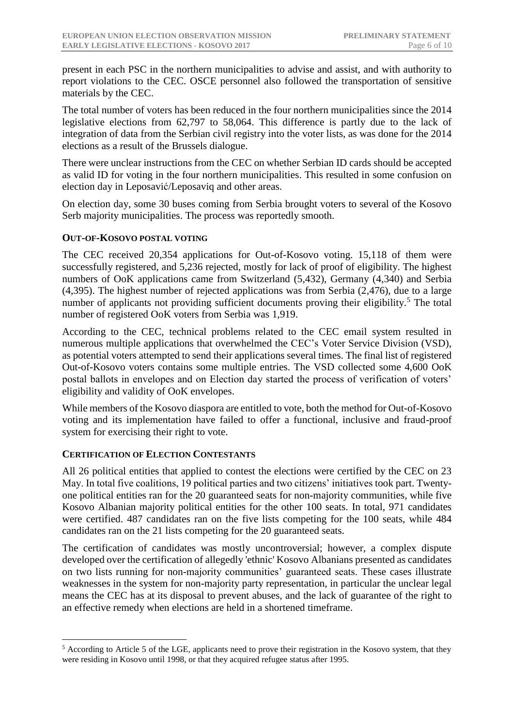present in each PSC in the northern municipalities to advise and assist, and with authority to report violations to the CEC. OSCE personnel also followed the transportation of sensitive materials by the CEC.

The total number of voters has been reduced in the four northern municipalities since the 2014 legislative elections from 62,797 to 58,064. This difference is partly due to the lack of integration of data from the Serbian civil registry into the voter lists, as was done for the 2014 elections as a result of the Brussels dialogue.

There were unclear instructions from the CEC on whether Serbian ID cards should be accepted as valid ID for voting in the four northern municipalities. This resulted in some confusion on election day in Leposavić/Leposaviq and other areas.

On election day, some 30 buses coming from Serbia brought voters to several of the Kosovo Serb majority municipalities. The process was reportedly smooth.

## **OUT-OF-KOSOVO POSTAL VOTING**

The CEC received 20,354 applications for Out-of-Kosovo voting. 15,118 of them were successfully registered, and 5,236 rejected, mostly for lack of proof of eligibility. The highest numbers of OoK applications came from Switzerland (5,432), Germany (4,340) and Serbia (4,395). The highest number of rejected applications was from Serbia (2,476), due to a large number of applicants not providing sufficient documents proving their eligibility.<sup>5</sup> The total number of registered OoK voters from Serbia was 1,919.

According to the CEC, technical problems related to the CEC email system resulted in numerous multiple applications that overwhelmed the CEC's Voter Service Division (VSD), as potential voters attempted to send their applications several times. The final list of registered Out-of-Kosovo voters contains some multiple entries. The VSD collected some 4,600 OoK postal ballots in envelopes and on Election day started the process of verification of voters' eligibility and validity of OoK envelopes.

While members of the Kosovo diaspora are entitled to vote, both the method for Out-of-Kosovo voting and its implementation have failed to offer a functional, inclusive and fraud-proof system for exercising their right to vote.

#### **CERTIFICATION OF ELECTION CONTESTANTS**

<u>.</u>

All 26 political entities that applied to contest the elections were certified by the CEC on 23 May. In total five coalitions, 19 political parties and two citizens' initiatives took part. Twentyone political entities ran for the 20 guaranteed seats for non-majority communities, while five Kosovo Albanian majority political entities for the other 100 seats. In total, 971 candidates were certified. 487 candidates ran on the five lists competing for the 100 seats, while 484 candidates ran on the 21 lists competing for the 20 guaranteed seats.

The certification of candidates was mostly uncontroversial; however, a complex dispute developed over the certification of allegedly 'ethnic' Kosovo Albanians presented as candidates on two lists running for non-majority communities' guaranteed seats. These cases illustrate weaknesses in the system for non-majority party representation, in particular the unclear legal means the CEC has at its disposal to prevent abuses, and the lack of guarantee of the right to an effective remedy when elections are held in a shortened timeframe.

<sup>&</sup>lt;sup>5</sup> According to Article 5 of the LGE, applicants need to prove their registration in the Kosovo system, that they were residing in Kosovo until 1998, or that they acquired refugee status after 1995.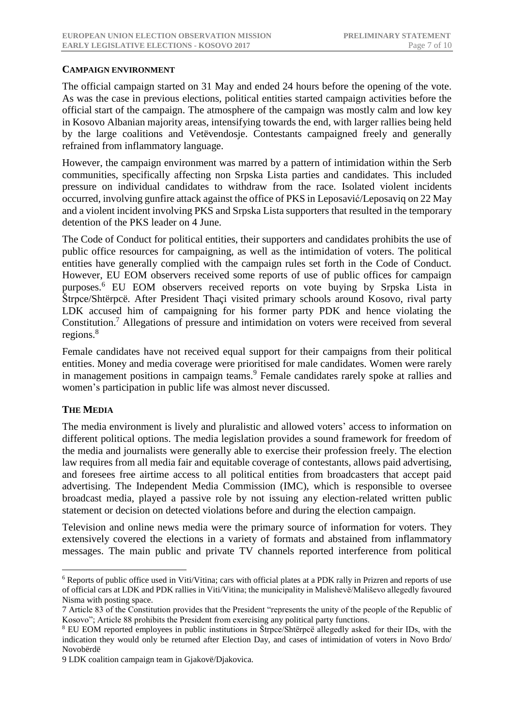## **CAMPAIGN ENVIRONMENT**

The official campaign started on 31 May and ended 24 hours before the opening of the vote. As was the case in previous elections, political entities started campaign activities before the official start of the campaign. The atmosphere of the campaign was mostly calm and low key in Kosovo Albanian majority areas, intensifying towards the end, with larger rallies being held by the large coalitions and Vetëvendosje. Contestants campaigned freely and generally refrained from inflammatory language.

However, the campaign environment was marred by a pattern of intimidation within the Serb communities, specifically affecting non Srpska Lista parties and candidates. This included pressure on individual candidates to withdraw from the race. Isolated violent incidents occurred, involving gunfire attack against the office of PKS in Leposavić/Leposaviq on 22 May and a violent incident involving PKS and Srpska Lista supporters that resulted in the temporary detention of the PKS leader on 4 June.

The Code of Conduct for political entities, their supporters and candidates prohibits the use of public office resources for campaigning, as well as the intimidation of voters. The political entities have generally complied with the campaign rules set forth in the Code of Conduct. However, EU EOM observers received some reports of use of public offices for campaign purposes.<sup>6</sup> EU EOM observers received reports on vote buying by Srpska Lista in Štrpce/Shtërpcë. After President Thaçi visited primary schools around Kosovo, rival party LDK accused him of campaigning for his former party PDK and hence violating the Constitution.<sup>7</sup> Allegations of pressure and intimidation on voters were received from several regions.<sup>8</sup>

Female candidates have not received equal support for their campaigns from their political entities. Money and media coverage were prioritised for male candidates. Women were rarely in management positions in campaign teams.<sup>9</sup> Female candidates rarely spoke at rallies and women's participation in public life was almost never discussed.

#### **THE MEDIA**

<u>.</u>

The media environment is lively and pluralistic and allowed voters' access to information on different political options. The media legislation provides a sound framework for freedom of the media and journalists were generally able to exercise their profession freely. The election law requires from all media fair and equitable coverage of contestants, allows paid advertising, and foresees free airtime access to all political entities from broadcasters that accept paid advertising. The Independent Media Commission (IMC), which is responsible to oversee broadcast media, played a passive role by not issuing any election-related written public statement or decision on detected violations before and during the election campaign.

Television and online news media were the primary source of information for voters. They extensively covered the elections in a variety of formats and abstained from inflammatory messages. The main public and private TV channels reported interference from political

<sup>6</sup> Reports of public office used in Viti/Vitina; cars with official plates at a PDK rally in Prizren and reports of use of official cars at LDK and PDK rallies in Viti/Vitina; the municipality in Malishevë/Mališevo allegedly favoured Nisma with posting space.

<sup>7</sup> Article 83 of the Constitution provides that the President "represents the unity of the people of the Republic of Kosovo"; Article 88 prohibits the President from exercising any political party functions.

<sup>8</sup> EU EOM reported employees in public institutions in Štrpce/Shtërpcë allegedly asked for their IDs, with the indication they would only be returned after Election Day, and cases of intimidation of voters in Novo Brdo/ Novobërdë

<sup>9</sup> LDK coalition campaign team in Gjakovë/Djakovica.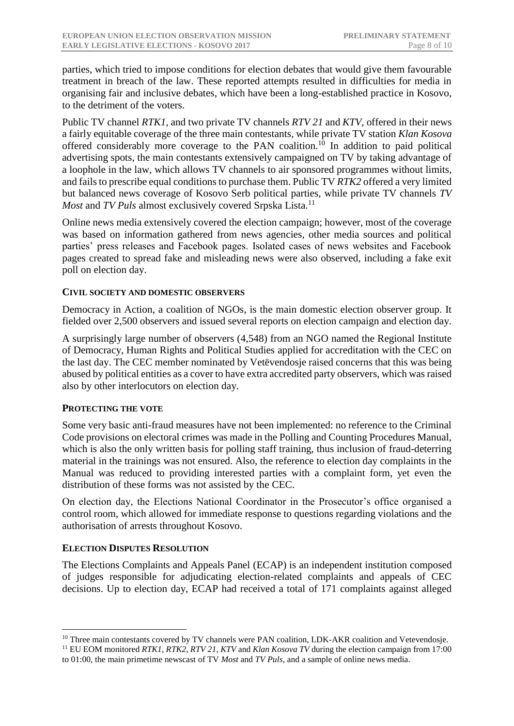parties, which tried to impose conditions for election debates that would give them favourable treatment in breach of the law. These reported attempts resulted in difficulties for media in organising fair and inclusive debates, which have been a long-established practice in Kosovo, to the detriment of the voters.

Public TV channel *RTK1,* and two private TV channels *RTV 21* and *KTV,* offered in their news a fairly equitable coverage of the three main contestants*,* while private TV station *Klan Kosova* offered considerably more coverage to the PAN coalition.<sup>10</sup> In addition to paid political advertising spots, the main contestants extensively campaigned on TV by taking advantage of a loophole in the law, which allows TV channels to air sponsored programmes without limits, and fails to prescribe equal conditions to purchase them. Public TV *RTK2* offered a very limited but balanced news coverage of Kosovo Serb political parties, while private TV channels *TV Most* and *TV Puls* almost exclusively covered Srpska Lista.<sup>11</sup>

Online news media extensively covered the election campaign; however, most of the coverage was based on information gathered from news agencies, other media sources and political parties' press releases and Facebook pages. Isolated cases of news websites and Facebook pages created to spread fake and misleading news were also observed, including a fake exit poll on election day.

#### **CIVIL SOCIETY AND DOMESTIC OBSERVERS**

Democracy in Action, a coalition of NGOs, is the main domestic election observer group. It fielded over 2,500 observers and issued several reports on election campaign and election day.

A surprisingly large number of observers (4,548) from an NGO named the Regional Institute of Democracy, Human Rights and Political Studies applied for accreditation with the CEC on the last day. The CEC member nominated by Vetëvendosje raised concerns that this was being abused by political entities as a cover to have extra accredited party observers, which was raised also by other interlocutors on election day.

## **PROTECTING THE VOTE**

Some very basic anti-fraud measures have not been implemented: no reference to the Criminal Code provisions on electoral crimes was made in the Polling and Counting Procedures Manual, which is also the only written basis for polling staff training, thus inclusion of fraud-deterring material in the trainings was not ensured. Also, the reference to election day complaints in the Manual was reduced to providing interested parties with a complaint form, yet even the distribution of these forms was not assisted by the CEC.

On election day, the Elections National Coordinator in the Prosecutor's office organised a control room, which allowed for immediate response to questions regarding violations and the authorisation of arrests throughout Kosovo.

#### **ELECTION DISPUTES RESOLUTION**

<u>.</u>

The Elections Complaints and Appeals Panel (ECAP) is an independent institution composed of judges responsible for adjudicating election-related complaints and appeals of CEC decisions. Up to election day, ECAP had received a total of 171 complaints against alleged

<sup>&</sup>lt;sup>10</sup> Three main contestants covered by TV channels were PAN coalition, LDK-AKR coalition and Vetevendosje.

<sup>&</sup>lt;sup>11</sup> EU EOM monitored *RTK1, RTK2, RTV 21, KTV* and *Klan Kosova TV* during the election campaign from 17:00 to 01:00, the main primetime newscast of TV *Most* and *TV Puls*, and a sample of online news media.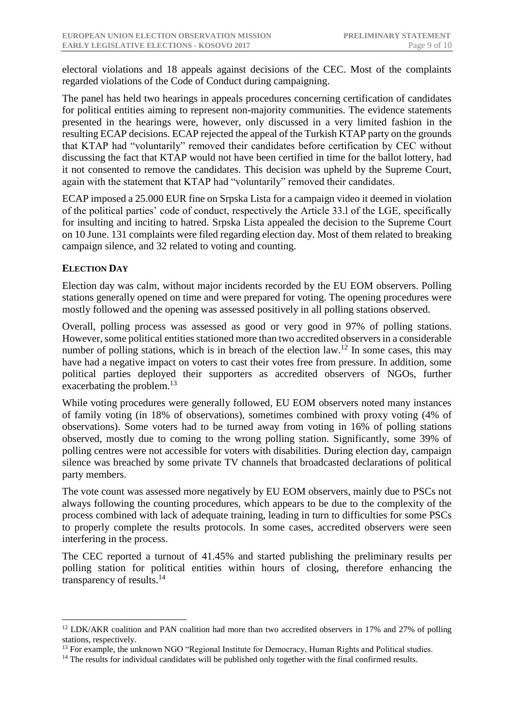electoral violations and 18 appeals against decisions of the CEC. Most of the complaints regarded violations of the Code of Conduct during campaigning.

The panel has held two hearings in appeals procedures concerning certification of candidates for political entities aiming to represent non-majority communities. The evidence statements presented in the hearings were, however, only discussed in a very limited fashion in the resulting ECAP decisions. ECAP rejected the appeal of the Turkish KTAP party on the grounds that KTAP had "voluntarily" removed their candidates before certification by CEC without discussing the fact that KTAP would not have been certified in time for the ballot lottery, had it not consented to remove the candidates. This decision was upheld by the Supreme Court, again with the statement that KTAP had "voluntarily" removed their candidates.

ECAP imposed a 25.000 EUR fine on Srpska Lista for a campaign video it deemed in violation of the political parties' code of conduct, respectively the Article 33.l of the LGE, specifically for insulting and inciting to hatred. Srpska Lista appealed the decision to the Supreme Court on 10 June. 131 complaints were filed regarding election day. Most of them related to breaking campaign silence, and 32 related to voting and counting.

## **ELECTION DAY**

1

Election day was calm, without major incidents recorded by the EU EOM observers. Polling stations generally opened on time and were prepared for voting. The opening procedures were mostly followed and the opening was assessed positively in all polling stations observed.

Overall, polling process was assessed as good or very good in 97% of polling stations. However, some political entities stationed more than two accredited observers in a considerable number of polling stations, which is in breach of the election law.<sup>12</sup> In some cases, this may have had a negative impact on voters to cast their votes free from pressure. In addition, some political parties deployed their supporters as accredited observers of NGOs, further exacerbating the problem.<sup>13</sup>

While voting procedures were generally followed, EU EOM observers noted many instances of family voting (in 18% of observations), sometimes combined with proxy voting (4% of observations). Some voters had to be turned away from voting in 16% of polling stations observed, mostly due to coming to the wrong polling station. Significantly, some 39% of polling centres were not accessible for voters with disabilities. During election day, campaign silence was breached by some private TV channels that broadcasted declarations of political party members.

The vote count was assessed more negatively by EU EOM observers, mainly due to PSCs not always following the counting procedures, which appears to be due to the complexity of the process combined with lack of adequate training, leading in turn to difficulties for some PSCs to properly complete the results protocols. In some cases, accredited observers were seen interfering in the process.

The CEC reported a turnout of 41.45% and started publishing the preliminary results per polling station for political entities within hours of closing, therefore enhancing the transparency of results.<sup>14</sup>

<sup>&</sup>lt;sup>12</sup> LDK/AKR coalition and PAN coalition had more than two accredited observers in 17% and 27% of polling stations, respectively.

<sup>&</sup>lt;sup>13</sup> For example, the unknown NGO "Regional Institute for Democracy, Human Rights and Political studies.

<sup>&</sup>lt;sup>14</sup> The results for individual candidates will be published only together with the final confirmed results.